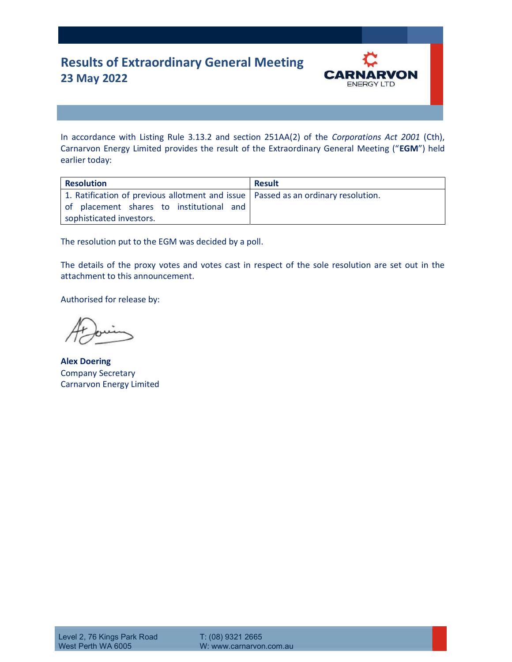## **Results of Extraordinary General Meeting 23 May 2022**



In accordance with Listing Rule 3.13.2 and section 251AA(2) of the *Corporations Act 2001* (Cth), Carnarvon Energy Limited provides the result of the Extraordinary General Meeting ("**EGM**") held earlier today:

| <b>Resolution</b>                                                                                                                                           | <b>Result</b> |
|-------------------------------------------------------------------------------------------------------------------------------------------------------------|---------------|
| 1. Ratification of previous allotment and issue   Passed as an ordinary resolution.<br>of placement shares to institutional and<br>sophisticated investors. |               |

The resolution put to the EGM was decided by a poll.

The details of the proxy votes and votes cast in respect of the sole resolution are set out in the attachment to this announcement.

Authorised for release by:

**Alex Doering**  Company Secretary Carnarvon Energy Limited